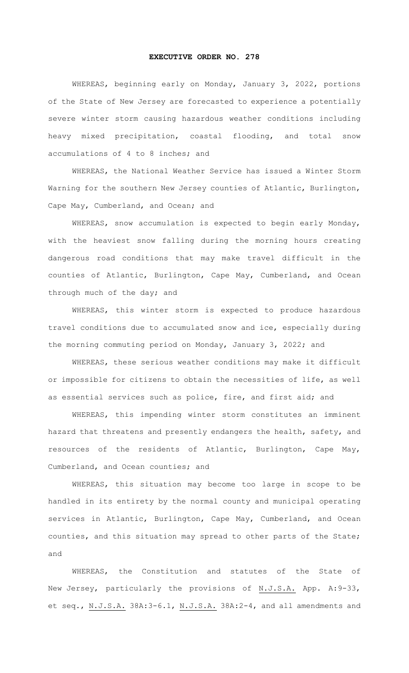## **EXECUTIVE ORDER NO. 278**

WHEREAS, beginning early on Monday, January 3, 2022, portions of the State of New Jersey are forecasted to experience a potentially severe winter storm causing hazardous weather conditions including heavy mixed precipitation, coastal flooding, and total snow accumulations of 4 to 8 inches; and

WHEREAS, the National Weather Service has issued a Winter Storm Warning for the southern New Jersey counties of Atlantic, Burlington, Cape May, Cumberland, and Ocean; and

WHEREAS, snow accumulation is expected to begin early Monday, with the heaviest snow falling during the morning hours creating dangerous road conditions that may make travel difficult in the counties of Atlantic, Burlington, Cape May, Cumberland, and Ocean through much of the day; and

WHEREAS, this winter storm is expected to produce hazardous travel conditions due to accumulated snow and ice, especially during the morning commuting period on Monday, January 3, 2022; and

WHEREAS, these serious weather conditions may make it difficult or impossible for citizens to obtain the necessities of life, as well as essential services such as police, fire, and first aid; and

WHEREAS, this impending winter storm constitutes an imminent hazard that threatens and presently endangers the health, safety, and resources of the residents of Atlantic, Burlington, Cape May, Cumberland, and Ocean counties; and

WHEREAS, this situation may become too large in scope to be handled in its entirety by the normal county and municipal operating services in Atlantic, Burlington, Cape May, Cumberland, and Ocean counties, and this situation may spread to other parts of the State; and

WHEREAS, the Constitution and statutes of the State of New Jersey, particularly the provisions of N.J.S.A. App. A:9-33, et seq., N.J.S.A. 38A:3-6.1, N.J.S.A. 38A:2-4, and all amendments and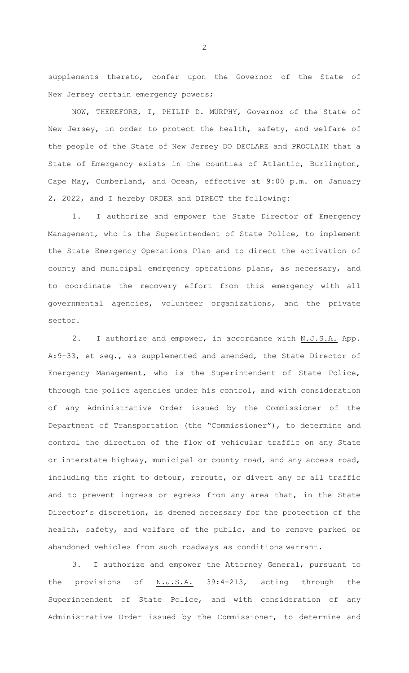supplements thereto, confer upon the Governor of the State of New Jersey certain emergency powers;

NOW, THEREFORE, I, PHILIP D. MURPHY, Governor of the State of New Jersey, in order to protect the health, safety, and welfare of the people of the State of New Jersey DO DECLARE and PROCLAIM that a State of Emergency exists in the counties of Atlantic, Burlington, Cape May, Cumberland, and Ocean, effective at 9:00 p.m. on January 2, 2022, and I hereby ORDER and DIRECT the following:

1. I authorize and empower the State Director of Emergency Management, who is the Superintendent of State Police, to implement the State Emergency Operations Plan and to direct the activation of county and municipal emergency operations plans, as necessary, and to coordinate the recovery effort from this emergency with all governmental agencies, volunteer organizations, and the private sector.

2. I authorize and empower, in accordance with N.J.S.A. App. A:9-33, et seq., as supplemented and amended, the State Director of Emergency Management, who is the Superintendent of State Police, through the police agencies under his control, and with consideration of any Administrative Order issued by the Commissioner of the Department of Transportation (the "Commissioner"), to determine and control the direction of the flow of vehicular traffic on any State or interstate highway, municipal or county road, and any access road, including the right to detour, reroute, or divert any or all traffic and to prevent ingress or egress from any area that, in the State Director's discretion, is deemed necessary for the protection of the health, safety, and welfare of the public, and to remove parked or abandoned vehicles from such roadways as conditions warrant.

3. I authorize and empower the Attorney General, pursuant to the provisions of N.J.S.A. 39:4-213, acting through the Superintendent of State Police, and with consideration of any Administrative Order issued by the Commissioner, to determine and

2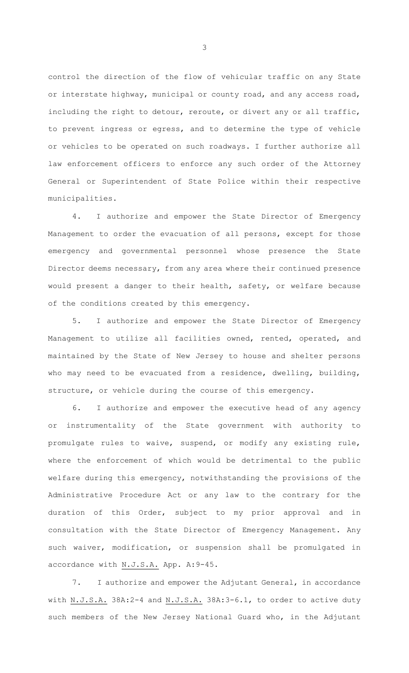control the direction of the flow of vehicular traffic on any State or interstate highway, municipal or county road, and any access road, including the right to detour, reroute, or divert any or all traffic, to prevent ingress or egress, and to determine the type of vehicle or vehicles to be operated on such roadways. I further authorize all law enforcement officers to enforce any such order of the Attorney General or Superintendent of State Police within their respective municipalities.

4. I authorize and empower the State Director of Emergency Management to order the evacuation of all persons, except for those emergency and governmental personnel whose presence the State Director deems necessary, from any area where their continued presence would present a danger to their health, safety, or welfare because of the conditions created by this emergency.

5. I authorize and empower the State Director of Emergency Management to utilize all facilities owned, rented, operated, and maintained by the State of New Jersey to house and shelter persons who may need to be evacuated from a residence, dwelling, building, structure, or vehicle during the course of this emergency.

I authorize and empower the executive head of any agency or instrumentality of the State government with authority to promulgate rules to waive, suspend, or modify any existing rule, where the enforcement of which would be detrimental to the public welfare during this emergency, notwithstanding the provisions of the Administrative Procedure Act or any law to the contrary for the duration of this Order, subject to my prior approval and in consultation with the State Director of Emergency Management. Any such waiver, modification, or suspension shall be promulgated in accordance with N.J.S.A. App. A:9-45.

7. I authorize and empower the Adjutant General, in accordance with N.J.S.A. 38A:2-4 and N.J.S.A. 38A:3-6.1, to order to active duty such members of the New Jersey National Guard who, in the Adjutant

3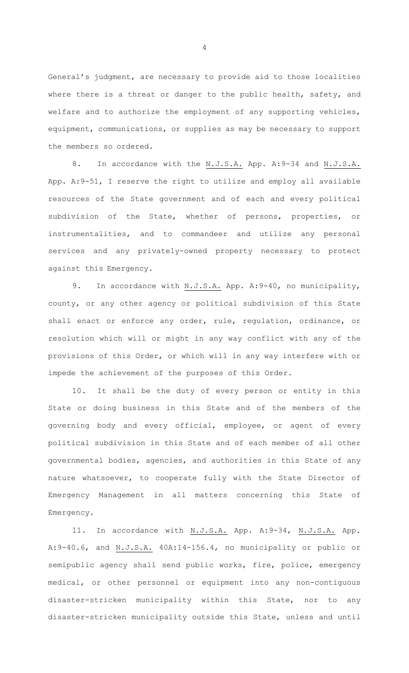General's judgment, are necessary to provide aid to those localities where there is a threat or danger to the public health, safety, and welfare and to authorize the employment of any supporting vehicles, equipment, communications, or supplies as may be necessary to support the members so ordered.

8. In accordance with the N.J.S.A. App. A:9-34 and N.J.S.A. App. A:9-51, I reserve the right to utilize and employ all available resources of the State government and of each and every political subdivision of the State, whether of persons, properties, or instrumentalities, and to commandeer and utilize any personal services and any privately-owned property necessary to protect against this Emergency.

9. In accordance with N.J.S.A. App. A: 9-40, no municipality, county, or any other agency or political subdivision of this State shall enact or enforce any order, rule, regulation, ordinance, or resolution which will or might in any way conflict with any of the provisions of this Order, or which will in any way interfere with or impede the achievement of the purposes of this Order.

10. It shall be the duty of every person or entity in this State or doing business in this State and of the members of the governing body and every official, employee, or agent of every political subdivision in this State and of each member of all other governmental bodies, agencies, and authorities in this State of any nature whatsoever, to cooperate fully with the State Director of Emergency Management in all matters concerning this State of Emergency.

11. In accordance with N.J.S.A. App. A: 9-34, N.J.S.A. App. A: 9-40.6, and N.J.S.A. 40A:14-156.4, no municipality or public or semipublic agency shall send public works, fire, police, emergency medical, or other personnel or equipment into any non-contiguous disaster-stricken municipality within this State, nor to any disaster-stricken municipality outside this State, unless and until

4